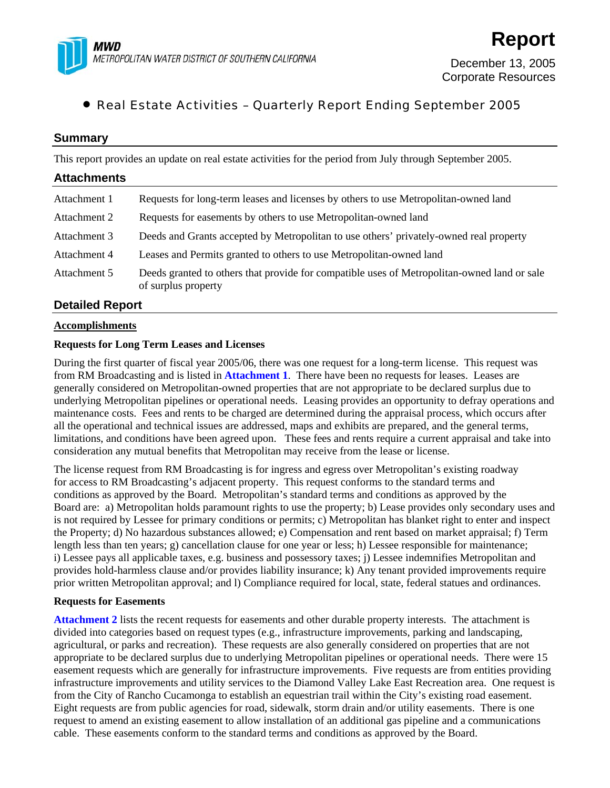

# • Real Estate Activities – Quarterly Report Ending September 2005

## **Summary**

This report provides an update on real estate activities for the period from July through September 2005.

| <b>Attachments</b> |                                                                                                                    |
|--------------------|--------------------------------------------------------------------------------------------------------------------|
| Attachment 1       | Requests for long-term leases and licenses by others to use Metropolitan-owned land                                |
| Attachment 2       | Requests for easements by others to use Metropolitan-owned land                                                    |
| Attachment 3       | Deeds and Grants accepted by Metropolitan to use others' privately-owned real property                             |
| Attachment 4       | Leases and Permits granted to others to use Metropolitan-owned land                                                |
| Attachment 5       | Deeds granted to others that provide for compatible uses of Metropolitan-owned land or sale<br>of surplus property |

## **Detailed Report**

## **Accomplishments**

## **Requests for Long Term Leases and Licenses**

During the first quarter of fiscal year 2005/06, there was one request for a long-term license. This request was from RM Broadcasting and is listed in **Attachment 1**. There have been no requests for leases. Leases are generally considered on Metropolitan-owned properties that are not appropriate to be declared surplus due to underlying Metropolitan pipelines or operational needs. Leasing provides an opportunity to defray operations and maintenance costs. Fees and rents to be charged are determined during the appraisal process, which occurs after all the operational and technical issues are addressed, maps and exhibits are prepared, and the general terms, limitations, and conditions have been agreed upon. These fees and rents require a current appraisal and take into consideration any mutual benefits that Metropolitan may receive from the lease or license.

The license request from RM Broadcasting is for ingress and egress over Metropolitan's existing roadway for access to RM Broadcasting's adjacent property. This request conforms to the standard terms and conditions as approved by the Board. Metropolitan's standard terms and conditions as approved by the Board are: a) Metropolitan holds paramount rights to use the property; b) Lease provides only secondary uses and is not required by Lessee for primary conditions or permits; c) Metropolitan has blanket right to enter and inspect the Property; d) No hazardous substances allowed; e) Compensation and rent based on market appraisal; f) Term length less than ten years; g) cancellation clause for one year or less; h) Lessee responsible for maintenance; i) Lessee pays all applicable taxes, e.g. business and possessory taxes; j) Lessee indemnifies Metropolitan and provides hold-harmless clause and/or provides liability insurance; k) Any tenant provided improvements require prior written Metropolitan approval; and l) Compliance required for local, state, federal statues and ordinances.

### **Requests for Easements**

**Attachment 2** lists the recent requests for easements and other durable property interests. The attachment is divided into categories based on request types (e.g., infrastructure improvements, parking and landscaping, agricultural, or parks and recreation). These requests are also generally considered on properties that are not appropriate to be declared surplus due to underlying Metropolitan pipelines or operational needs. There were 15 easement requests which are generally for infrastructure improvements. Five requests are from entities providing infrastructure improvements and utility services to the Diamond Valley Lake East Recreation area. One request is from the City of Rancho Cucamonga to establish an equestrian trail within the City's existing road easement. Eight requests are from public agencies for road, sidewalk, storm drain and/or utility easements. There is one request to amend an existing easement to allow installation of an additional gas pipeline and a communications cable. These easements conform to the standard terms and conditions as approved by the Board.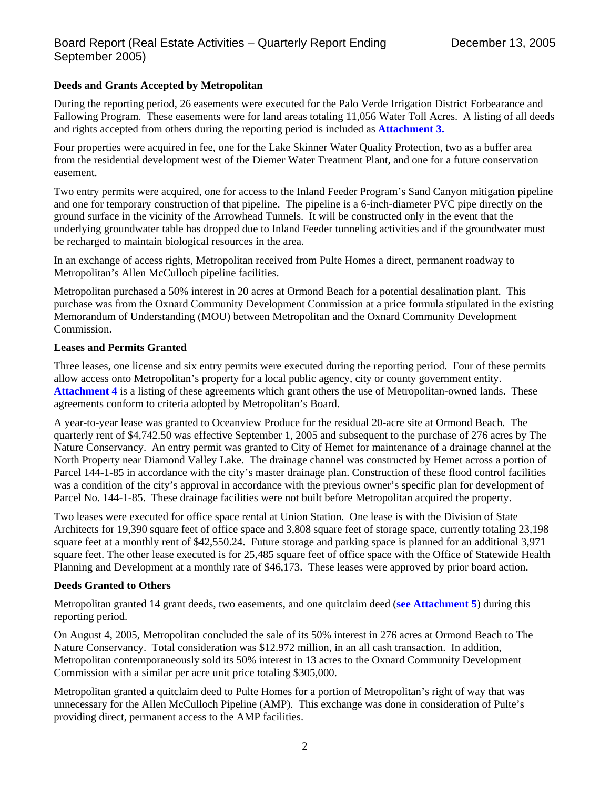## **Deeds and Grants Accepted by Metropolitan**

During the reporting period, 26 easements were executed for the Palo Verde Irrigation District Forbearance and Fallowing Program. These easements were for land areas totaling 11,056 Water Toll Acres. A listing of all deeds and rights accepted from others during the reporting period is included as **Attachment 3.**

Four properties were acquired in fee, one for the Lake Skinner Water Quality Protection, two as a buffer area from the residential development west of the Diemer Water Treatment Plant, and one for a future conservation easement.

Two entry permits were acquired, one for access to the Inland Feeder Program's Sand Canyon mitigation pipeline and one for temporary construction of that pipeline. The pipeline is a 6-inch-diameter PVC pipe directly on the ground surface in the vicinity of the Arrowhead Tunnels. It will be constructed only in the event that the underlying groundwater table has dropped due to Inland Feeder tunneling activities and if the groundwater must be recharged to maintain biological resources in the area.

In an exchange of access rights, Metropolitan received from Pulte Homes a direct, permanent roadway to Metropolitan's Allen McCulloch pipeline facilities.

Metropolitan purchased a 50% interest in 20 acres at Ormond Beach for a potential desalination plant. This purchase was from the Oxnard Community Development Commission at a price formula stipulated in the existing Memorandum of Understanding (MOU) between Metropolitan and the Oxnard Community Development Commission.

## **Leases and Permits Granted**

Three leases, one license and six entry permits were executed during the reporting period. Four of these permits allow access onto Metropolitan's property for a local public agency, city or county government entity. **Attachment 4** is a listing of these agreements which grant others the use of Metropolitan-owned lands. These agreements conform to criteria adopted by Metropolitan's Board.

A year-to-year lease was granted to Oceanview Produce for the residual 20-acre site at Ormond Beach. The quarterly rent of \$4,742.50 was effective September 1, 2005 and subsequent to the purchase of 276 acres by The Nature Conservancy. An entry permit was granted to City of Hemet for maintenance of a drainage channel at the North Property near Diamond Valley Lake. The drainage channel was constructed by Hemet across a portion of Parcel 144-1-85 in accordance with the city's master drainage plan. Construction of these flood control facilities was a condition of the city's approval in accordance with the previous owner's specific plan for development of Parcel No. 144-1-85. These drainage facilities were not built before Metropolitan acquired the property.

Two leases were executed for office space rental at Union Station. One lease is with the Division of State Architects for 19,390 square feet of office space and 3,808 square feet of storage space, currently totaling 23,198 square feet at a monthly rent of \$42,550.24. Future storage and parking space is planned for an additional 3,971 square feet. The other lease executed is for 25,485 square feet of office space with the Office of Statewide Health Planning and Development at a monthly rate of \$46,173. These leases were approved by prior board action.

## **Deeds Granted to Others**

Metropolitan granted 14 grant deeds, two easements, and one quitclaim deed (**see Attachment 5**) during this reporting period.

On August 4, 2005, Metropolitan concluded the sale of its 50% interest in 276 acres at Ormond Beach to The Nature Conservancy. Total consideration was \$12.972 million, in an all cash transaction. In addition, Metropolitan contemporaneously sold its 50% interest in 13 acres to the Oxnard Community Development Commission with a similar per acre unit price totaling \$305,000.

Metropolitan granted a quitclaim deed to Pulte Homes for a portion of Metropolitan's right of way that was unnecessary for the Allen McCulloch Pipeline (AMP). This exchange was done in consideration of Pulte's providing direct, permanent access to the AMP facilities.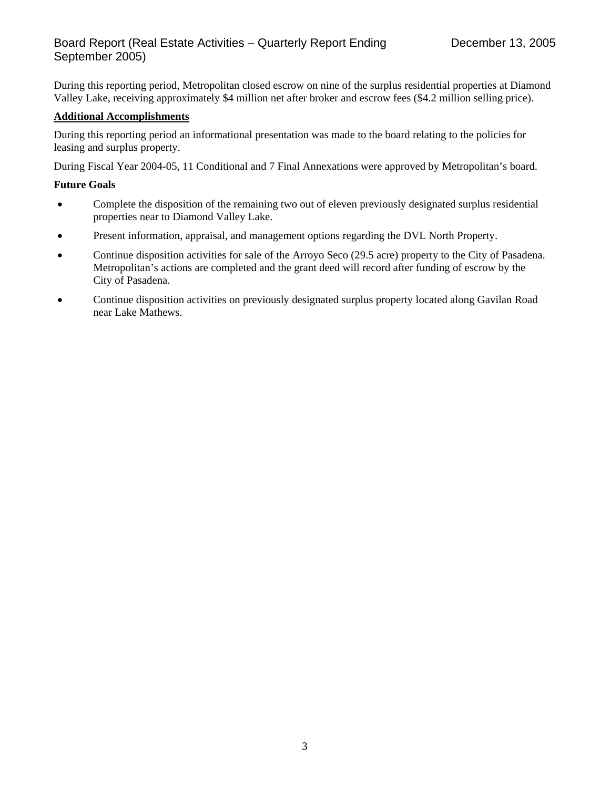## Board Report (Real Estate Activities – Quarterly Report Ending September 2005)

During this reporting period, Metropolitan closed escrow on nine of the surplus residential properties at Diamond Valley Lake, receiving approximately \$4 million net after broker and escrow fees (\$4.2 million selling price).

## **Additional Accomplishments**

During this reporting period an informational presentation was made to the board relating to the policies for leasing and surplus property.

During Fiscal Year 2004-05, 11 Conditional and 7 Final Annexations were approved by Metropolitan's board.

### **Future Goals**

- Complete the disposition of the remaining two out of eleven previously designated surplus residential properties near to Diamond Valley Lake.
- Present information, appraisal, and management options regarding the DVL North Property.
- Continue disposition activities for sale of the Arroyo Seco (29.5 acre) property to the City of Pasadena. Metropolitan's actions are completed and the grant deed will record after funding of escrow by the City of Pasadena.
- Continue disposition activities on previously designated surplus property located along Gavilan Road near Lake Mathews.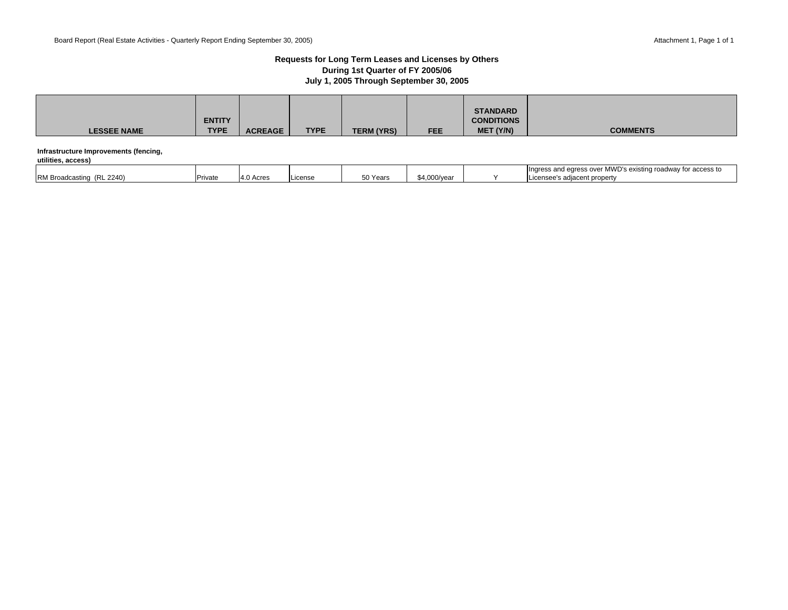#### **Requests for Long Term Leases and Licenses by Others During 1st Quarter of FY 2005/06 July 1, 2005 Through September 30, 2005**

| <b>LESSEE NAME</b>                                          | <b>ENTITY</b><br><b>TYPE</b> | <b>ACREAGE</b> | <b>TYPE</b> | <b>TERM (YRS)</b> | <b>FEE</b> | <b>STANDARD</b><br><b>CONDITIONS</b><br>MET (Y/N) | <b>COMMENTS</b> |
|-------------------------------------------------------------|------------------------------|----------------|-------------|-------------------|------------|---------------------------------------------------|-----------------|
| Infrastructure Improvements (fencing,<br>utilities, access) |                              |                |             |                   |            |                                                   |                 |

|                                          |         |               |         |          |                      | ir MWD's existing roadway for a<br>Ingress and egress<br>access to<br>AS UVE. |
|------------------------------------------|---------|---------------|---------|----------|----------------------|-------------------------------------------------------------------------------|
| 2240<br><b>PM Broadcasurio</b><br>. IN L | Private | Acres<br>14 U | .icense | 50 Years | $\sim$<br>4.000/vear | ; adiacent property<br>License <sup>2</sup>                                   |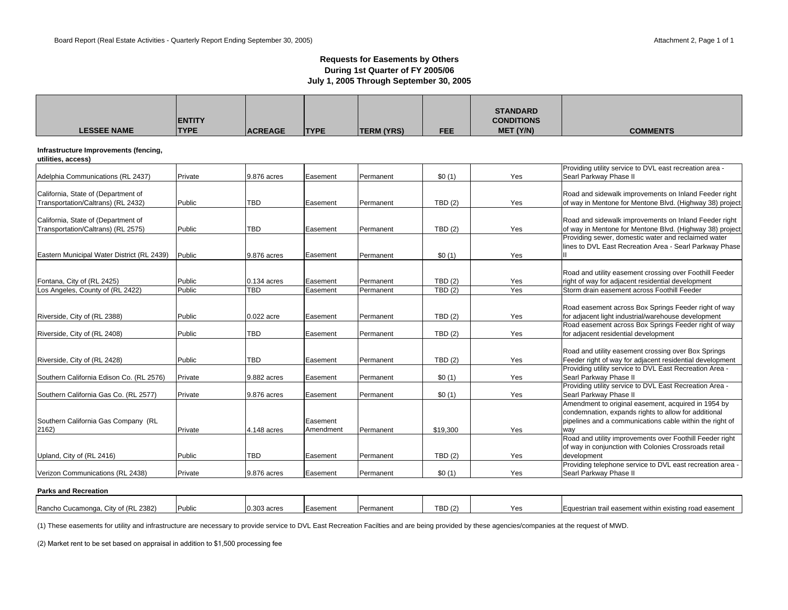### **Requests for Easements by Others During 1st Quarter of FY 2005/06 July 1, 2005 Through September 30, 2005**

| <b>LESSEE NAME</b>                                                        | <b>IENTITY</b><br><b>TYPE</b> | <b>ACREAGE</b>            | <b>TYPE</b>           | <b>TERM (YRS)</b>      | <b>FEE</b>       | <b>STANDARD</b><br><b>CONDITIONS</b><br>MET (Y/N) | <b>COMMENTS</b>                                                                                                                                             |
|---------------------------------------------------------------------------|-------------------------------|---------------------------|-----------------------|------------------------|------------------|---------------------------------------------------|-------------------------------------------------------------------------------------------------------------------------------------------------------------|
| Infrastructure Improvements (fencing,<br>utilities, access)               |                               |                           |                       |                        |                  |                                                   |                                                                                                                                                             |
| Adelphia Communications (RL 2437)                                         | Private                       | 9.876 acres               | Easement              | Permanent              | \$0(1)           | Yes                                               | Providing utility service to DVL east recreation area -<br>Searl Parkway Phase II                                                                           |
| California, State of (Department of<br>Transportation/Caltrans) (RL 2432) | Public                        | <b>TBD</b>                | Easement              | Permanent              | TBD(2)           | Yes                                               | Road and sidewalk improvements on Inland Feeder right<br>of way in Mentone for Mentone Blvd. (Highway 38) project                                           |
| California, State of (Department of<br>Transportation/Caltrans) (RL 2575) | Public                        | <b>TBD</b>                | Easement              | Permanent              | TBD(2)           | Yes                                               | Road and sidewalk improvements on Inland Feeder right<br>of way in Mentone for Mentone Blvd. (Highway 38) project                                           |
| Eastern Municipal Water District (RL 2439)                                | Public                        | 9.876 acres               | Easement              | Permanent              | \$0(1)           | Yes                                               | Providing sewer, domestic water and reclaimed water<br>lines to DVL East Recreation Area - Searl Parkway Phase                                              |
| Fontana, City of (RL 2425)<br>Los Angeles, County of (RL 2422)            | Public<br>Public              | 0.134 acres<br><b>TBD</b> | Easement<br>Easement  | Permanent<br>Permanent | TBD(2)<br>TBD(2) | Yes<br>Yes                                        | Road and utility easement crossing over Foothill Feeder<br>right of way for adjacent residential development<br>Storm drain easement across Foothill Feeder |
| Riverside, City of (RL 2388)                                              | Public                        | 0.022 acre                | Easement              | Permanent              | TBD(2)           | Yes                                               | Road easement across Box Springs Feeder right of way<br>for adjacent light industrial/warehouse development                                                 |
| Riverside, City of (RL 2408)                                              | Public                        | <b>TBD</b>                | Easement              | Permanent              | TBD(2)           | Yes                                               | Road easement across Box Springs Feeder right of way<br>for adjacent residential development                                                                |
| Riverside, City of (RL 2428)                                              | Public                        | <b>TBD</b>                | Easement              | Permanent              | TBD(2)           | Yes                                               | Road and utility easement crossing over Box Springs<br>Feeder right of way for adjacent residential development                                             |
| Southern California Edison Co. (RL 2576)                                  | Private                       | 9.882 acres               | Easement              | Permanent              | \$0(1)           | Yes                                               | Providing utility service to DVL East Recreation Area -<br>Searl Parkway Phase II                                                                           |
| Southern California Gas Co. (RL 2577)                                     | Private                       | 9.876 acres               | Easement              | Permanent              | \$0(1)           | Yes                                               | Providing utility service to DVL East Recreation Area -<br>Searl Parkway Phase II<br>Amendment to original easement, acquired in 1954 by                    |
| Southern California Gas Company (RL<br>2162)                              | Private                       | 4.148 acres               | Easement<br>Amendment | Permanent              | \$19,300         | Yes                                               | condemnation, expands rights to allow for additional<br>pipelines and a communications cable within the right of<br>way                                     |
| Upland, City of (RL 2416)                                                 | Public                        | <b>TBD</b>                | Easement              | Permanent              | TBD(2)           | Yes                                               | Road and utility improvements over Foothill Feeder right<br>of way in conjunction with Colonies Crossroads retail<br>development                            |
| Verizon Communications (RL 2438)                                          | Private                       | 9.876 acres               | Easement              | Permanent              | \$0(1)           | Yes                                               | Providing telephone service to DVL east recreation area -<br>Searl Parkway Phase II                                                                         |

#### **Parks and Recreation**

| kL 2382)<br>Rancho<br>tv of<br>) Cucamonga. | <b>Public</b> | 3 acres | isement | Permanen | [BD (2) | $\ddotsc$ | ail easement within existing road easement<br>uestrian trail |
|---------------------------------------------|---------------|---------|---------|----------|---------|-----------|--------------------------------------------------------------|

(1) These easements for utility and infrastructure are necessary to provide service to DVL East Recreation Facilties and are being provided by these agencies/companies at the request of MWD.

(2) Market rent to be set based on appraisal in addition to \$1,500 processing fee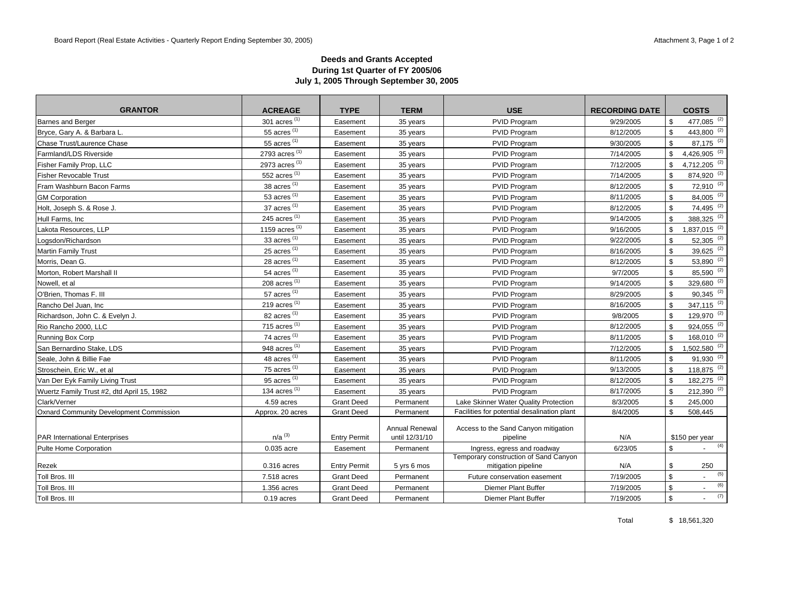### **Deeds and Grants Accepted During 1st Quarter of FY 2005/06 July 1, 2005 Through September 30, 2005**

| <b>GRANTOR</b>                                 | <b>ACREAGE</b>           | <b>TYPE</b>         | <b>TERM</b>                             | <b>USE</b>                                       | <b>RECORDING DATE</b> |               | <b>COSTS</b>               |
|------------------------------------------------|--------------------------|---------------------|-----------------------------------------|--------------------------------------------------|-----------------------|---------------|----------------------------|
| <b>Barnes and Berger</b>                       | 301 acres <sup>(1)</sup> | Easement            | 35 years                                | PVID Program                                     | 9/29/2005             | \$            | 477,085 <sup>(2)</sup>     |
| Bryce, Gary A. & Barbara L.                    | 55 acres $(1)$           | Easement            | 35 years                                | PVID Program                                     | 8/12/2005             | $\mathbb{S}$  | 443,800 <sup>(2)</sup>     |
| Chase Trust/Laurence Chase                     | 55 acres $(1)$           | Easement            | 35 years                                | PVID Program                                     | 9/30/2005             | \$            | $87,175$ <sup>(2)</sup>    |
| Farmland/LDS Riverside                         | 2793 acres (1)           | Easement            | 35 years                                | PVID Program                                     | 7/14/2005             | $\mathbb{S}$  | $4,426,905$ <sup>(2)</sup> |
| Fisher Family Prop, LLC                        | 2973 acres (1)           | Easement            | 35 years                                | PVID Program                                     | 7/12/2005             | \$            | 4,712,205 <sup>(2)</sup>   |
| <b>Fisher Revocable Trust</b>                  | 552 acres $(1)$          | Easement            | 35 years                                | PVID Program                                     | 7/14/2005             | $\mathfrak s$ | 874,920 <sup>(2)</sup>     |
| Fram Washburn Bacon Farms                      | 38 acres $(1)$           | Easement            | 35 years                                | PVID Program                                     | 8/12/2005             | \$            | 72,910 (2)                 |
| <b>GM Corporation</b>                          | 53 acres $(1)$           | Easement            | 35 years                                | PVID Program                                     | 8/11/2005             | \$            | $84,005$ <sup>(2)</sup>    |
| Holt, Joseph S. & Rose J.                      | 37 acres (1)             | Easement            | 35 years                                | PVID Program                                     | 8/12/2005             | \$            | 74,495 <sup>(2)</sup>      |
| Hull Farms, Inc.                               | 245 acres $(1)$          | Easement            | 35 years                                | PVID Program                                     | 9/14/2005             | \$            | 388,325 <sup>(2)</sup>     |
| Lakota Resources, LLP                          | 1159 acres (1)           | Easement            | 35 years                                | PVID Program                                     | 9/16/2005             | $\mathbb{S}$  | $1,837,015$ <sup>(2)</sup> |
| Logsdon/Richardson                             | 33 acres (1)             | Easement            | 35 years                                | PVID Program                                     | 9/22/2005             | \$            | $52,305$ <sup>(2)</sup>    |
| <b>Martin Family Trust</b>                     | 25 acres $(1)$           | Easement            | 35 years                                | PVID Program                                     | 8/16/2005             | $\mathfrak s$ | 39,625 $^{(2)}$            |
| Morris, Dean G.                                | 28 acres $(1)$           | Easement            | 35 years                                | PVID Program                                     | 8/12/2005             | $\mathfrak s$ | 53,890 $^{(2)}$            |
| Morton, Robert Marshall II                     | 54 acres $(1)$           | Easement            | 35 years                                | PVID Program                                     | 9/7/2005              | \$            | 85,590 (2)                 |
| Nowell, et al                                  | 208 acres $(1)$          | Easement            | 35 years                                | PVID Program                                     | 9/14/2005             | \$            | $329,680$ <sup>(2)</sup>   |
| O'Brien, Thomas F. III                         | 57 acres $(1)$           | Easement            | 35 years                                | PVID Program                                     | 8/29/2005             | $\mathfrak s$ | $90,345$ <sup>(2)</sup>    |
| Rancho Del Juan, Inc                           | 219 acres $(1)$          | Easement            | 35 years                                | PVID Program                                     | 8/16/2005             | $\mathfrak s$ | $347,115$ <sup>(2)</sup>   |
| Richardson, John C. & Evelyn J.                | 82 acres $(1)$           | Easement            | 35 years                                | PVID Program                                     | 9/8/2005              | $\mathfrak s$ | 129,970 <sup>(2)</sup>     |
| Rio Rancho 2000, LLC                           | 715 acres $(1)$          | Easement            | 35 years                                | PVID Program                                     | 8/12/2005             | $\mathfrak s$ | $924,055$ <sup>(2)</sup>   |
| Running Box Corp                               | 74 acres $(1)$           | Easement            | 35 years                                | PVID Program                                     | 8/11/2005             | $\mathfrak s$ | $168,010^{(2)}$            |
| San Bernardino Stake, LDS                      | 948 acres <sup>(1)</sup> | Easement            | 35 years                                | PVID Program                                     | 7/12/2005             | \$            | $1,502,580$ <sup>(2)</sup> |
| Seale, John & Billie Fae                       | 48 acres $(1)$           | Easement            | 35 years                                | PVID Program                                     | 8/11/2005             | $\mathfrak s$ | $91,930$ <sup>(2)</sup>    |
| Stroschein, Eric W., et al                     | 75 acres $(1)$           | Easement            | 35 years                                | PVID Program                                     | 9/13/2005             | \$            | $118,875$ <sup>(2)</sup>   |
| Van Der Eyk Family Living Trust                | 95 acres $(1)$           | Easement            | 35 years                                | PVID Program                                     | 8/12/2005             | \$            | $182,275$ <sup>(2)</sup>   |
| Wuertz Family Trust #2, dtd April 15, 1982     | 134 acres $(1)$          | Easement            | 35 years                                | PVID Program                                     | 8/17/2005             | \$            | 212,390 (2)                |
| Clark/Verner                                   | 4.59 acres               | <b>Grant Deed</b>   | Permanent                               | Lake Skinner Water Quality Protection            | 8/3/2005              | \$            | 245,000                    |
| <b>Oxnard Community Development Commission</b> | Approx. 20 acres         | <b>Grant Deed</b>   | Permanent                               | Facilities for potential desalination plant      | 8/4/2005              | \$            | 508,445                    |
|                                                |                          |                     |                                         |                                                  |                       |               |                            |
| <b>PAR International Enterprises</b>           | $n/a^{(3)}$              | <b>Entry Permit</b> | <b>Annual Renewal</b><br>until 12/31/10 | Access to the Sand Canyon mitigation<br>pipeline | N/A                   |               | \$150 per year             |
| Pulte Home Corporation                         | 0.035 acre               | Easement            | Permanent                               | Ingress, egress and roadway                      | 6/23/05               | $\mathfrak s$ | (4)                        |
|                                                |                          |                     |                                         | Temporary construction of Sand Canyon            |                       |               |                            |
| Rezek                                          | 0.316 acres              | <b>Entry Permit</b> | 5 yrs 6 mos                             | mitigation pipeline                              | N/A                   | \$            | 250                        |
| Toll Bros. III                                 | 7.518 acres              | <b>Grant Deed</b>   | Permanent                               | Future conservation easement                     | 7/19/2005             | \$            | (5)                        |
| Toll Bros. III                                 | 1.356 acres              | <b>Grant Deed</b>   | Permanent                               | <b>Diemer Plant Buffer</b>                       | 7/19/2005             | \$            | (6)                        |
| Toll Bros. III                                 | 0.19 acres               | <b>Grant Deed</b>   | Permanent                               | <b>Diemer Plant Buffer</b>                       | 7/19/2005             | $\mathfrak s$ | (7)                        |

Total \$ 18,561,320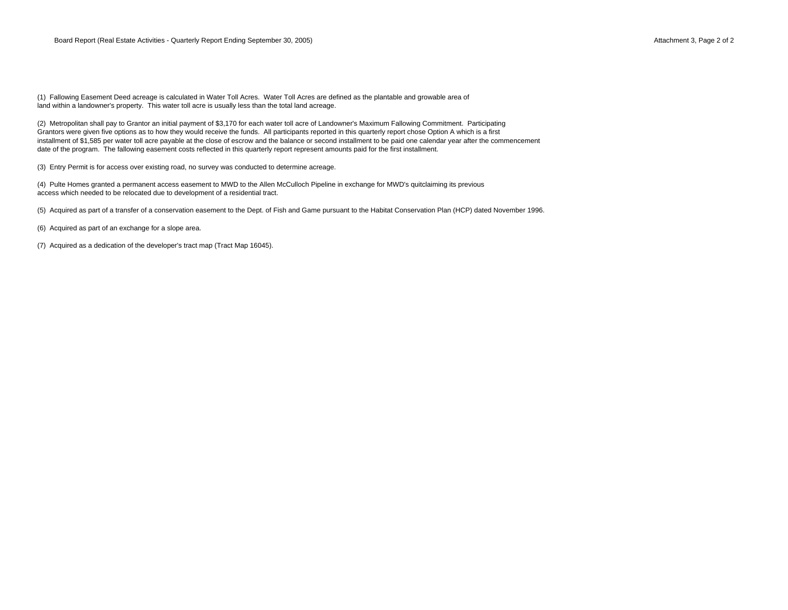land within a landowner's property. This water toll acre is usually less than the total land acreage. (1) Fallowing Easement Deed acreage is calculated in Water Toll Acres. Water Toll Acres are defined as the plantable and growable area of

(2) Metropolitan shall pay to Grantor an initial payment of \$3,170 for each water toll acre of Landowner's Maximum Fallowing Commitment. Participating Grantors were given five options as to how they would receive the funds. All participants reported in this quarterly report chose Option A which is a first installment of \$1,585 per water toll acre payable at the close of escrow and the balance or second installment to be paid one calendar year after the commencement date of the program. The fallowing easement costs reflected in this quarterly report represent amounts paid for the first installment.

(3) Entry Permit is for access over existing road, no survey was conducted to determine acreage.

(4) Pulte Homes granted a permanent access easement to MWD to the Allen McCulloch Pipeline in exchange for MWD's quitclaiming its previous access which needed to be relocated due to development of a residential tract.

(5) Acquired as part of a transfer of a conservation easement to the Dept. of Fish and Game pursuant to the Habitat Conservation Plan (HCP) dated November 1996.

(6) Acquired as part of an exchange for a slope area.

(7) Acquired as a dedication of the developer's tract map (Tract Map 16045).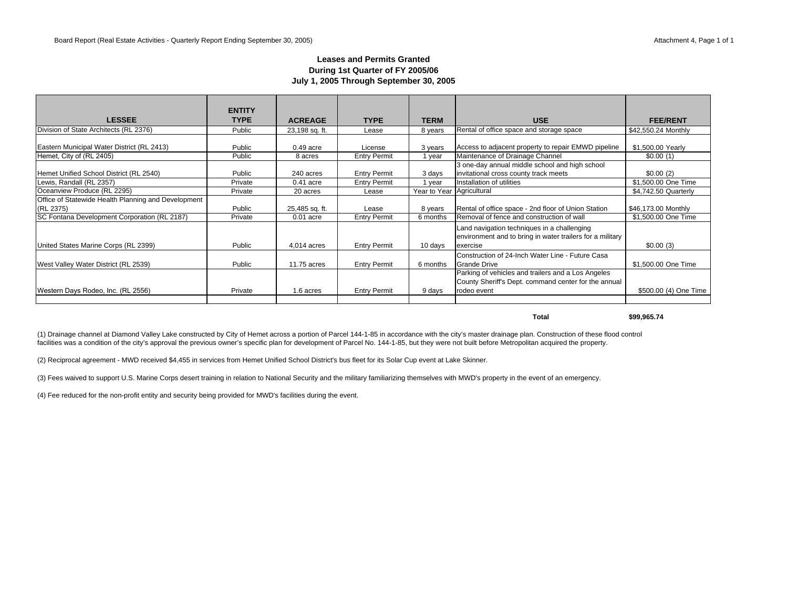### **Leases and Permits Granted During 1st Quarter of FY 2005/06 July 1, 2005 Through September 30, 2005**

|                                                     | <b>ENTITY</b> |                |                     |                           |                                                                                                                           |                       |
|-----------------------------------------------------|---------------|----------------|---------------------|---------------------------|---------------------------------------------------------------------------------------------------------------------------|-----------------------|
| <b>LESSEE</b>                                       | <b>TYPE</b>   | <b>ACREAGE</b> | <b>TYPE</b>         | <b>TERM</b>               | <b>USE</b>                                                                                                                | <b>FEE/RENT</b>       |
| Division of State Architects (RL 2376)              | Public        | 23,198 sq. ft. | Lease               | 8 years                   | Rental of office space and storage space                                                                                  | \$42,550.24 Monthly   |
| Eastern Municipal Water District (RL 2413)          | Public        | $0.49$ acre    | License             | 3 years                   | Access to adjacent property to repair EMWD pipeline                                                                       | \$1,500.00 Yearly     |
| Hemet, City of (RL 2405)                            | Public        | 8 acres        | <b>Entry Permit</b> | 1 year                    | Maintenance of Drainage Channel                                                                                           | \$0.00(1)             |
| Hemet Unified School District (RL 2540)             | Public        | 240 acres      | <b>Entry Permit</b> | 3 days                    | 3 one-day annual middle school and high school<br>invitational cross county track meets                                   | \$0.00(2)             |
| Lewis, Randall (RL 2357)                            | Private       | $0.41$ acre    | <b>Entry Permit</b> | 1 year                    | Installation of utilities                                                                                                 | \$1,500.00 One Time   |
| Oceanview Produce (RL 2295)                         | Private       | 20 acres       | Lease               | Year to Year Agricultural |                                                                                                                           | \$4,742.50 Quarterly  |
| Office of Statewide Health Planning and Development |               |                |                     |                           |                                                                                                                           |                       |
| (RL 2375)                                           | Public        | 25,485 sq. ft. | Lease               | 8 years                   | Rental of office space - 2nd floor of Union Station                                                                       | \$46,173.00 Monthly   |
| SC Fontana Development Corporation (RL 2187)        | Private       | $0.01$ acre    | <b>Entry Permit</b> | 6 months                  | Removal of fence and construction of wall                                                                                 | \$1,500.00 One Time   |
| United States Marine Corps (RL 2399)                | Public        | 4,014 acres    | <b>Entry Permit</b> | 10 days                   | Land navigation techniques in a challenging<br>environment and to bring in water trailers for a military<br>exercise      | \$0.00(3)             |
| West Valley Water District (RL 2539)                | Public        | 11.75 acres    | <b>Entry Permit</b> | 6 months                  | Construction of 24-Inch Water Line - Future Casa<br><b>Grande Drive</b>                                                   | \$1,500,00 One Time   |
| Western Days Rodeo, Inc. (RL 2556)                  | Private       | 1.6 acres      | <b>Entry Permit</b> | 9 days                    | Parking of vehicles and trailers and a Los Angeles<br>County Sheriff's Dept. command center for the annual<br>rodeo event | \$500.00 (4) One Time |
|                                                     |               |                |                     |                           |                                                                                                                           |                       |

**Total \$99,965.74**

(1) Drainage channel at Diamond Valley Lake constructed by City of Hemet across a portion of Parcel 144-1-85 in accordance with the city's master drainage plan. Construction of these flood control facilities was a condition of the city's approval the previous owner's specific plan for development of Parcel No. 144-1-85, but they were not built before Metropolitan acquired the property.

(2) Reciprocal agreement - MWD received \$4,455 in services from Hemet Unified School District's bus fleet for its Solar Cup event at Lake Skinner.

(3) Fees waived to support U.S. Marine Corps desert training in relation to National Security and the military familiarizing themselves with MWD's property in the event of an emergency.

(4) Fee reduced for the non-profit entity and security being provided for MWD's facilities during the event.